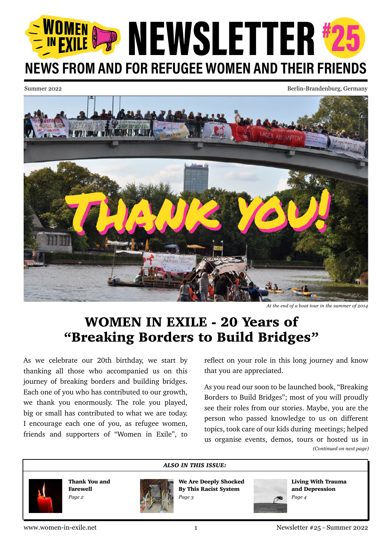# NEWSLETTER #25 NEWS FROM AND FOR REFUGEE WOMEN AND THEIR FRIENDS

Summer 2022 Berlin-Brandenburg, Germany



*At the end of a boat tour in the summer of 2014*

# WOMEN IN EXILE - 20 Years of "Breaking Borders to Build Bridges"

As we celebrate our 20th birthday, we start by thanking all those who accompanied us on this journey of breaking borders and building bridges. Each one of you who has contributed to our growth, we thank you enormously. The role you played, big or small has contributed to what we are today. I encourage each one of you, as refugee women, friends and supporters of "Women in Exile", to

reflect on your role in this long journey and know that you are appreciated.

*(Continued on next page)* As you read our soon to be launched book, "Breaking Borders to Build Bridges"; most of you will proudly see their roles from our stories. Maybe, you are the person who passed knowledge to us on different topics, took care of our kids during meetings; helped us organise events, demos, tours or hosted us in

Thank You and Farewell *Page 2*



We Are Deeply Shocked By This Racist System *Page 3*



Living With Trauma and Depression *Page 4*

www.women-in-exile.net 1 Newsletter #25 - Summer 2022

*ALSO IN THIS ISSUE:*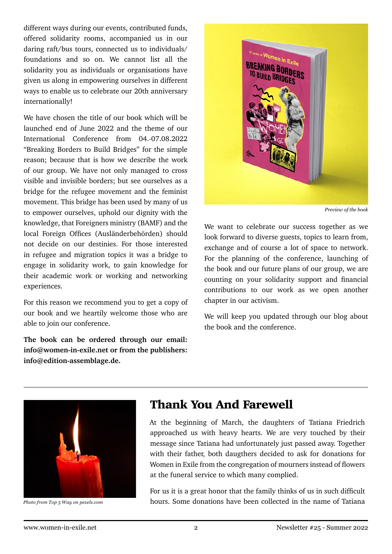different ways during our events, contributed funds, offered solidarity rooms, accompanied us in our daring raft/bus tours, connected us to individuals/ foundations and so on. We cannot list all the solidarity you as individuals or organisations have given us along in empowering ourselves in different ways to enable us to celebrate our 20th anniversary internationally!

We have chosen the title of our book which will be launched end of June 2022 and the theme of our International Conference from 04.-07.08.2022 "Breaking Borders to Build Bridges" for the simple reason; because that is how we describe the work of our group. We have not only managed to cross visible and invisible borders; but see ourselves as a bridge for the refugee movement and the feminist movement. This bridge has been used by many of us to empower ourselves, uphold our dignity with the knowledge, that Foreigners ministry (BAMF) and the local Foreign Offices (Ausländerbehörden) should not decide on our destinies. For those interested in refugee and migration topics it was a bridge to engage in solidarity work, to gain knowledge for their academic work or working and networking experiences.

For this reason we recommend you to get a copy of our book and we heartily welcome those who are able to join our conference.

**The book can be ordered through our email: info@women-in-exile.net or from the publishers: info@edition-assemblage.de.**



*Preview of the book*

We want to celebrate our success together as we look forward to diverse guests, topics to learn from, exchange and of course a lot of space to network. For the planning of the conference, launching of the book and our future plans of our group, we are counting on your solidarity support and financial contributions to our work as we open another chapter in our activism.

We will keep you updated through our blog about the book and the conference.



*Photo from Top 5 Way on pexels.com*

## Thank You And Farewell

At the beginning of March, the daughters of Tatiana Friedrich approached us with heavy hearts. We are very touched by their message since Tatiana had unfortunately just passed away. Together with their father, both daugthers decided to ask for donations for Women in Exile from the congregation of mourners instead of flowers at the funeral service to which many complied.

For us it is a great honor that the family thinks of us in such difficult hours. Some donations have been collected in the name of Tatiana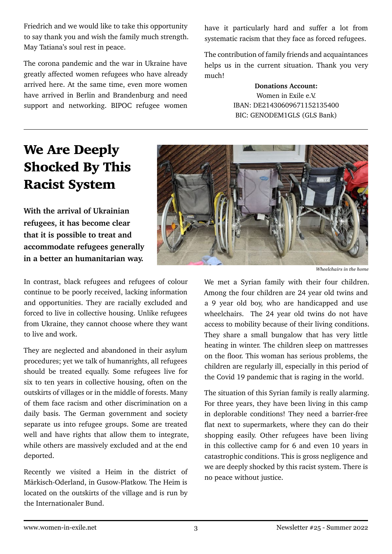Friedrich and we would like to take this opportunity to say thank you and wish the family much strength. May Tatiana's soul rest in peace.

The corona pandemic and the war in Ukraine have greatly affected women refugees who have already arrived here. At the same time, even more women have arrived in Berlin and Brandenburg and need support and networking. BIPOC refugee women have it particularly hard and suffer a lot from systematic racism that they face as forced refugees.

The contribution of family friends and acquaintances helps us in the current situation. Thank you very much!

> **Donations Account:**  Women in Exile e.V. IBAN: DE21430609671152135400 BIC: GENODEM1GLS (GLS Bank)

# We Are Deeply Shocked By This Racist System

**With the arrival of Ukrainian refugees, it has become clear that it is possible to treat and accommodate refugees generally in a better an humanitarian way.** 

In contrast, black refugees and refugees of colour continue to be poorly received, lacking information and opportunities. They are racially excluded and forced to live in collective housing. Unlike refugees from Ukraine, they cannot choose where they want to live and work.

They are neglected and abandoned in their asylum procedures; yet we talk of humanrights, all refugees should be treated equally. Some refugees live for six to ten years in collective housing, often on the outskirts of villages or in the middle of forests. Many of them face racism and other discrimination on a daily basis. The German government and society separate us into refugee groups. Some are treated well and have rights that allow them to integrate, while others are massively excluded and at the end deported.

Recently we visited a Heim in the district of Märkisch-Oderland, in Gusow-Platkow. The Heim is located on the outskirts of the village and is run by the Internationaler Bund.



*Wheelchairs in the home*

We met a Syrian family with their four children. Among the four children are 24 year old twins and a 9 year old boy, who are handicapped and use wheelchairs. The 24 year old twins do not have access to mobility because of their living conditions. They share a small bungalow that has very little heating in winter. The children sleep on mattresses on the floor. This woman has serious problems, the children are regularly ill, especially in this period of the Covid 19 pandemic that is raging in the world.

The situation of this Syrian family is really alarming. For three years, they have been living in this camp in deplorable conditions! They need a barrier-free flat next to supermarkets, where they can do their shopping easily. Other refugees have been living in this collective camp for 6 and even 10 years in catastrophic conditions. This is gross negligence and we are deeply shocked by this racist system. There is no peace without justice.